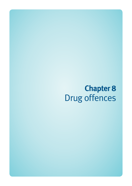# **Chapter 8**  Drug offences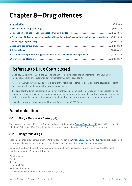# **Chapter 8—Drug offences**

| D. Possession of things for use in connection with administration/consumption/smoking dangerous drugs (8-16-8-20) |
|-------------------------------------------------------------------------------------------------------------------|
|                                                                                                                   |
|                                                                                                                   |
|                                                                                                                   |
| H. Occupier/manager permitting place to be used for commission of drug offences  (8-33-8-36)                      |
|                                                                                                                   |

## Referrals to Drug Court closed

On Friday 16 November 2012, the Queensland Government released the amendments to the Drug Court Regulations, which effectively stop any further referrals to the drug court.

Accordingly, if you have enquiries from clients or their families or other solicitors about the possibility of going to drug court, this sentencing option now no longer exists.

The drug court will still operate for the next few months, so it hasn't shut completely, but it will operate only to enable the current participants to continue treatment and be transitioned from the court to alternative sentencing options eventually, and deal with any participants on drug court warrants who surrender or are arrested.

If you have any questions please call the Drug Court Team on 3238 3496.

# **A. Introduction**

### **8-1** *Drugs Misuse Act 1986* **(Qld)**

The laws covering drug offences in Queensland are contained in the *[Drugs Misuse Act 1986](http://www.legislation.qld.gov.au/LEGISLTN/CURRENT/D/DrugsMisuseA86.pdf)* (Qld), which came into effect on 27 October 1986. The substantive drug offences are set out in ss 5–12 of the Drugs Misuse Act.

### **8-2 Dangerous drugs**

Section 4 defines a 'dangerous drug' as 'a thing specified in the *[Drugs Misuse Regulation 1987](http://www.legislation.qld.gov.au/LEGISLTN/CURRENT/D/DrugsMisuseR87.pdf)* (Qld), schedule 1 or 2 or' any part of any specified plant or (in effect) any of the chemical derivative of any defined drug.

Schedule 1 contains the most serious substances and offences associated with these drugs attract the most significant penalties. Schedule 1 drugs are:

'Amphetamine Cocaine Heroin Lysergide [LSD] Methylamphetamine 3,4-Methylenedioxymethamphetamine (MDMA) [Ecstacy]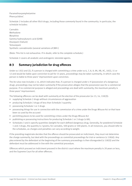Paramethoxyamphetamine Phencyclidine'.

Schedule 2 includes all other illicit drugs, including those commonly found in the community. In particular, the schedule includes:

Cannabis Methadone Morphine Gamma hydroxybutyric acid (GHB) Diazepam (Valium) Temazepam Synthetic cannabinoids (several variations of JWH-)

(Note: This list is not exhaustive. If in doubt, refer to the complete schedule.)

Schedule 2 covers all anabolic and androgenic steroidal agents.

### **8-3 Summary jurisdiction for drug offences**

Under ss 13(1) and (2), if a person is charged with committing a crime under ss 6, 7, 8, 9, 9A, 9B, 9C, 10(1), 11 or 12 and would be liable upon conviction to jail for 15 years, proceedings may be taken summarily, in which case the person is liable to three years' imprisonment upon conviction.

The Act also now includes s 14, which indicates that, if a person is charged under s 9 (possession of a dangerous drug), proceedings may not be taken summarily if the prosecution alleges that the possession was for a commercial purpose. If no commercial purpose is alleged and proceedings are dealt with summarily, the maximum penalty is three years' imprisonment.

The following offences can be dealt with summarily at the election of the prosecutor (ss 13, 14, 118(2)):

- supplying Schedule 2 drugs without circumstances of aggravation
- producing Schedule 2 drugs of less than Schedule 3 quantity
- possessing Schedule 1 or 2 drugs
- possessing things for use in connection with the commission of a crime under the Drugs Misuse Act or that have been so used by the accused
- permitting places to be used for committing crimes under the Drugs Misuse Act
- publishing or possessing instructions for producing Schedule 1 or 2 drugs (s 8A).
- Schedules 3 and 4 specify quantities (weight) for each defined dangerous drug. Generally, for powdered Schedule 1 and 2 drugs, the quantity is 2 grams; for cannabis, 500 grams or 100 plants. In all instances, you should refer to the schedules, as charges and penalties can vary according to weight.

If the presiding magistrate decides that the offence should be prosecuted on indictment, they must not determine the charge summarily, but deal with the proceedings as committal proceedings for trial or sentence (s 118(4)). Any plea entered by the defendant at the beginning of the summary proceedings is then disregarded (s 118(5)) and the defendant must be addressed in line with the committal procedure.

Offences which proceed on indictment proceed in the district court where the maximum penalty is 20 years or less, and the Supreme Court for all other offences.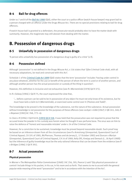### **8-4 Bail for drug offences**

Under ss 7 and 8 of the *[Bail Act 1980](http://www.legislation.qld.gov.au/LEGISLTN/CURRENT/B/BailA80.pdf)* (Qld), either the court or a police officer (watch-house keeper) may grant bail to a person charged with an offence under the Drugs Misuse Act. There are no special provisions relating to bail for drug offences.

If watch-house bail is granted to a defendant, the prosecutor would probably elect to have the matter dealt with summarily. However, the magistrate may still abstain from dealing with the matter.

# **B. Possession of dangerous drugs**

### **8-5 Unlawfully in possession of dangerous drugs**

'A person who unlawfully has possession of a dangerous drug is guilty of a crime' (s 9).

### **8-6 Possession defined**

Although 'possession' is not defined in the Drugs Misuse Act, s 116 states that '[t]he Criminal Code shall, with all necessary adaptations, be read and construed with this Act'.

Schedule 1 of the *[Criminal Code Act 1899](http://www.legislation.qld.gov.au/LEGISLTN/CURRENT/C/CriminCode.pdf)* (Qld) states that the term 'possession' includes 'having under control in any place whatever, whether for the use or benefit of the person of whom the term is used or of another person, and although another person has the actual possession or custody of the thing in question'.

However, this definition is inclusive and not exhaustive (see *R v Warneminde* [1978] Qd R 371).

In *R v Solway* [1984] 2 Qd R 75, the court expressed the view that,

'... before a person can be said to be in possession of any object he must not only know of its existence, but he must have laid a claim to it (*Warneminde*), or exercised some control over it (*Thomas and Todd*)'.

The knowledge to be proved is the knowledge of the substance, not the nature of the substance. Actual possession without knowledge is not possession for the purposes of these offences (see *Lockyer v Gibb* [1967] 2 QB 243, 248; *R v Boyesen* [1982] AC 768, 773–4).

In *Clare v R* (1994) 2 Qd R 619; [\[1993\] QCA 558](http://archive.sclqld.org.au/qjudgment/1993/QCA93-558.pdf), it was held that the prosecution was not required to prove that the accused knew the powder in his custody was heroin when he thought it was perfume base. The onus was on him to raise the defence of 'honest and reasonable mistake' under s 24 of the Criminal Code.

However, for a conviction to be sustained, knowledge must be proved beyond reasonable doubt. Such proof may be based on an inference drawn from all the circumstances (see *R v Armstrong* (Unreported, Queensland Court of Criminal Appeal, CA 191 of 1985, McPherson, Thomas and de Jersey JJ , 17 October 1985) and *Duncan v Martyn* (Unreported, Queensland Court of Criminal Appeal, CA 14 of 1989, Kelly SPJ, Kneipp and Demack JJ , 18 April 1989)) but the inference of guilty knowledge must be the only rational inference that can be drawn from the evidence (see *R v Bridges* [1986] 2 Qd R 391).

### **8-7 Actual possession**

#### **Physical possession**

In *Warner v The Metropolitan Police Commissioner* [1969] 2 AC 256, 305, Pearce LJ said '(b)y physical possession or control I include things in his pocket, in his car, in his room and so forth. That seems to me to accord with the general popular wide meaning of the word "possession" and to be in accordance with the intention of the Act'.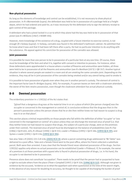#### **Non-physical possession**

As long as the elements of knowledge and control can be established, it is not necessary to show physical possession. In *R v Warneminde (supra)*, the defendant was held to be in possession of a package held at a freight depot, which he had ordered and paid for, as it was necessary for the defendant only to sign the delivery receipt to gain control of the package.

A defendant who had a pistol locked in a car to which they alone had the key was held to be in possession of that pistol (see *R v Williams* [1967] 2 NSWR 594).

However, mere knowledge of the existence of a drug, coupled with a future intention to exercise control, is not enough (*R v Solway (supra)*). In Solway, cannabis was found in the defendant's bathroom cabinet. He admitted that he knew what it was and that it had been left there after a party. He had no particular intention to do anything with the substance. His appeal against his conviction for possession of the cannabis was allowed.

#### **Joint possession**

It is possible for more than one person to be in possession of a particular item at any one time. Of course, there must be knowledge of the item and what it is, together with consent or intention to possess. For instance, when three defendants were apprehended in a house where a number of firearms and ammunition were hidden, all three were held to be in possession of all the firearms and ammunition (see *R v Bentham* [1973] 1 QB 357). Another typical situation is where several people are seated in a room and all are smoking the same cannabis joint. Depending on the evidence, they may all be in joint possession of the cannabis being smoked and/or any utensil being used to smoke it.

It is possible to have possession of goods even when they are in another person's custody. The element of control is the important factor (see *R v Bridges (supra),* 395). For example, if a person leaves an item with a cloakroom attendant, the owner of the item retains possession, even though the cloakroom attendant has actual physical custody.

#### **8-8 Deemed possession**

The evidentiary provision in s  $129(1)(c)$  of the Act states that:

'[p]roof that a dangerous drug was at the material time in or on a place of which [the person charged] was the occupier or concerned in the management or control of, is conclusive evidence that the drug was then in the person's possession unless the person shows that he or she then neither knew nor had reason to suspect a drug was in or on that place'.

This section places criminal responsibility on those people who fall within the definition of either 'occupier' or 'one concerned in the management or control' of a place unless they can discharge the reversed onus of proof (i.e. that they neither knew nor had reason to suspect that drugs, the subject of a particular charge, were on the premises under their control). The reversed onus of proof must be discharged on the balance of probabilities (see *R v Fox* [1986] 2 Qd R 402, 405; *R v Brauer* [1990] 1 Qd R 332; *Lawler v Prideaux* [1995] 1 Qd R 186; [\[1993\] QCA 395](http://archive.sclqld.org.au/qjudgment/1993/QCA93-395.pdf); and *Symes v Lawler* [1995] 1 Qd R 226; [\[1993\] QCA 394](http://archive.sclqld.org.au/qjudgment/1993/QCA93-394.pdf)).

See also *Tabe v R* (2005) 225 CLR 418; [\[2005\] HCA 59](http://www.austlii.edu.au/au/cases/cth/HCA/2005/59.html), where a parcel containing drugs addressed to 'Mr Tabler' was delivered to a post office. Tabe and a female friend went to the post office, where his friend collected a substitute parcel. Both were then arrested. It was clear that the female friend never obtained possession of the drugs. Section 129(1)(c) applies only where no actual possession can be established (*Lawler v Prideaux*). If, for example, the owner of a premises is at those premises with a guest who is found in physical possession of drugs, i.e. in his hand, the occupier is not deemed to be in possession.

Presence alone does not constitute 'occupation'. There needs to be proof that the person had or purported to have a right to exclude others from the place (*Thow v Campbell* [1997] 2 Qd R 324; [\[1996\] QCA 522](http://archive.sclqld.org.au/qjudgment/1996/QCA96-522.pdf)). Although not given in evidence by the accused, 'evidence as to what the appellant said when questioned at the time of the search might, in the absence of any reason for doubting its accuracy, be thought to be capable of discharging the burden of proof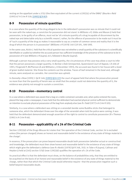resting on the appellant under s.57(c) (the then equivalent of the current s129(1)(c) of the DMA)' (*Bourke v Reid* (1993) 67 A Crim R 518; [\[1993\] QCA 83](http://archive.sclqld.org.au/qjudgment/1993/QCA93-083.pdf)).

### **8-9 Possession of minute quantities**

In a case where the quantity of the drug alleged to be in the defendant's possession was so minute that it could not be seen with the naked eye, a conviction for possession did not stand. In *Williams v R,* Gibbs and Mason JJ held that possession, to be guilty of an offence, must not be 'of a minute quantity of a drug incapable of discernment by the naked eye and detectable only by a scientific means'; rather, for the offence of possession to be made out it must be of 'such a quantity of the drug as makes it reasonable to say as a matter of common sense and reality that it is the drug of which the person is in possession' (*Williams v R* (1978) 140 CLR 591, 598-599).

In the same case, Aickin J. held that the critical question was not whether a small quantity of the substance is scientifically identifiable or usable but whether the accused person has sufficient knowledge of the presence of the substance to be in possession of it (see *Williams v R (supra)*, 613, followed in *Bourke (supra)*).

Although a person may possess only a very small quantity, the circumstances of the case may allow a court to infer that the person possesses a larger quantity. In *Barlow v Dale* (Unreported, Queensland Court of Appeal, CA 406 of 1993, Fitzgerald P, McPherson JA and Williams J, 8 December 1993), the accused was found in her house with a bowl of green leafed material. She threw the contents out the window. Traces of leaf remained in the bowl and, although minute, were analysed as cannabis. Her conviction was upheld.

In *Donnelly v Rose* [1995] 1 Qd R 148; [\[1993\] QCA 223](http://archive.sclqld.org.au/qjudgment/1993/QCA93-223.pdf) the court of appeal held that where the prosecution proved no more than that the quantity of heroin was so small that the analyst could not determine the quantity of it, the evidence was plainly not enough to sustain a conviction.

### **8-10 Possession—momentary control**

In a case where a defendant was aware that a bag on a table contained cannabis and, when police entered the room, placed the bag under a newspaper, it was held that the defendant had exerted physical control sufficient to demonstrate an intention to exclude physical possession of the bag from anybody else (see *R v Todd* (1977) 6 A Crim R 105).

Similarly, in a case where a defendant was sitting on a verandah beside some Buddha sticks that belonged to someone else, which the defendant threw over the edge of the verandah when told the police were coming, it was held that the defendant demonstrated enough assertion of the right to control to constitute possession (*R v Thomas*  (1981) 6 A Crim R 66).

### **8-11 Possession—applicability of s 24 of the Criminal Code**

Section 129(1)(d) of the Drugs Misuse Act states that 'the operation of the Criminal Code, section 24 is excluded unless [the person charged] shows an honest and reasonable belief in the existence of any state of things material to the charge'.

In essence, if the prosecution can prove beyond reasonable doubt both possession (whether actual or constructive) and knowledge, the defendant must then show honest and reasonable belief in the existence of any state of things which might give the defendant a defence (see *R v Keskic* [1979] Qd R 348, 355). In *Tabe v R (supra)*, Callinan and Heydon JJ held at [145] section 57(d) (now 129(1)(d) qualifies the operation of s 24 of the Code.

Its practical effect is that the defendant must show, on the balance of probabilities only, that they are entitled to be acquitted on the basis of an honest and reasonable belief in the existence of any state of things material to the charge, rather than that which the Criminal Code would otherwise require—that the prosecution negative such a belief beyond reasonable doubt.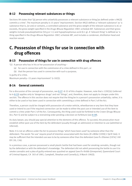### **8-12 Possessing relevant substances or things**

Sections 9A states that '[a] person who unlawfully possesses a relevant substance or thing [as defined under s 9A(2)] commits a crime'. The maximum penalty is 15 years' imprisonment. Section 9A(2) defines a 'relevant substance' as 'a substance that is, [or are] or contains, a controlled substance and the gross weight of the relevant substance is of, or exceeds, the gross weight specified in the *Drugs Misuse Regulation 1987*, schedule 8A'. Substances and their gross weights include pseudoephedrine (50 g or 1 L) and hypophosphorous acid (0.1 g). A 'relevant thing' is defined as 'a thing specified in the *Drugs Misuse Regulation 1987*, schedule 8B', and includes a condenser, distillation head and reaction vessel.

# **C. Possession of things for use in connection with drug offences**

### **8-13 Possession of things for use in connection with drug offences**

'(1) A person who has in his or her possession of anything—

- (a) for use in connection with the commission of a crime defined in this part ; or
- (b) that the person has used in connection with such a purpose;

is guilty of a crime.

Maximum penalty—15 years imprisonment' (s  $10(1)$ ).

### **8-14 General comments**

For a discussion of the concept of possession, see 8-27–8-32 of this chapter. However, note that s 129(1)(c) (referred to in 8-33) applies only to 'dangerous drugs' and not 'things', and, therefore, does not apply to charges under this section. The offence in this section does not require that the thing be in a person's possession unlawfully; rather, it is either to be used or has been used in connection with committing a crime defined in Part 2 of the Act.

Therefore, a person could be charged with possession of a motor vehicle, wheelbarrow or any item that they have used or intend to use if the required connection can be made to either the past use or intended use of the item to commit a crime under Part 2 of the Act. Consequently, the thing used could be forfeited to the Crown (Drugs Misuse Act, Part 5) and be subject to a restraining order pending a decision on forfeiture (see 8-39).

As duty lawyer, you should pay special attention to the elements of this offence. To succeed, the prosecution must establish either past use of the item by the defendant (usually through an admission) or intention to use (admitted or inferred).

Note: It is not an offence under the Act to possess things 'which have been used' by someone other than the defendant. The words 'for use' require proof of intention associated with the items (*R v Miller* [1990] 2 Qd R 566). It may be sufficient that the intended use was to be by someone other than the defendant (see *R v Ellames* [1974] 3 All ER 130, 136).

In a previous case, a person possessed a small plastic bottle that had been used for smoking cannabis, though not by the defendant or with the defendant's knowledge. The defendant did not admit possessing the bottle to use it to smoke cannabis and a plea of guilty entered was quashed on appeal (see *R v Knibb* (Unreported, Queensland Court of Criminal Appeal, CA 303 of 1981, Campbell, Sheahan and Connelly JJ, 9 March 1982)).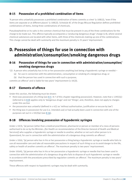### **8-15 Possession of a prohibited combination of items**

'A person who unlawfully possesses a prohibited combination of items commits a crime' (s 10B(1)), 'even if the items are separate or at different places' (s 10B(2)). Schedule 8C of the Drugs Misuse Regulation defines prohibited combinations of items, listing three combinations of chemicals.

Pseudoephedrine or its salts is the common chemical that must be present in any of the three combinations for the charge to be made out. This offence typically accompanies a 'producing dangerous drugs' charge (s 8), where several chemical substances are located with other items, with three of the chemicals making up one of the combinations. This charge cannot be dealt with summarily and the maximum penalty is 25 years' imprisonment.

# **D. Possession of things for use in connection with administration/consumption/smoking dangerous drugs**

### **8-16 Possession of things for use in connection with administration/consumption/ smoking dangerous drugs**

'(2) A person who unlawfully has in his or her possession anything (not being a hypodermic syringe or needle)—

- (a) for use in connection with the administration, consumption or smoking of a dangerous drug; or
- (b) that the person has used in connection with such a purpose;

commits an offence' and is liable for two years' imprisonment (s 10(2)).

### **8-17 Elements of offence**

Under this section, the following must be shown:

- there was possession of a thing (see 8-5–8-7 of this chapter regarding possession). However, note that  $s$  129(1)(c) (referred to in 8-8) applies only to 'dangerous drugs' and not 'things', and, therefore, does not apply to charges under this section
- the possession was unlawful (defined in s 4(1) as 'without authorisation, justification or excuse by law')
- the thing was in possession for use (i.e. intended use) or had actually been used in connection with one of the purposes set out in s 10(2)(a) (see 8-16).

### **8-18 Offences involving possession of hypodermic syringes**

Under s 10(3), '[a] person (other than a medical practitioner, pharmacist or person or member of a class of persons authorised to do so by the Minister…[for Health on recommendation of the Director-General of Health and Medical Services]) who supplies a hypodermic syringe or needle to another, whether or not such other person is in Queensland, for use in connection with the administration of a dangerous drug commits an offence'.

Under s 10(4), '[a] person who has in his or her possession a thing being a hypodermic syringe or needle who fails to use all reasonable care and take all reasonable precautions in respect of such thing so as to avoid danger to the life, safety or health of another commits an offence'. The maximum penalty is two years' imprisonment.

Under 10(4A), '[a] person who has in his or her possession a hypodermic syringe or needle that has been used in connection with the administration of a dangerous drug who fails to dispose of such hypodermic syringe or needle in accordance with the procedures prescribed by regulation commits an offence'. The maximum penalty is two years' imprisonment.

These offences with respect to hypodermic syringes may be dealt with summarily.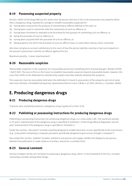### **8-19 Possessing suspected property**

Section 10A(1) of the Drugs Misuse Act states that '[a] person who has in his or her possession any property (other than a dangerous drug, hypodermic syringe or needle) reasonably suspected of—

- (a) having been acquired for the purpose of committing an offence defined in this part; or
- (b) having been used in connection with the commission of such an offence; or
- (c) having been furnished or intended to be furnished for the purpose of committing such an offence; or
- (d) being the proceeds of such an offence; or
- (e) having been acquired with the proceeds of such an offence; or
- (f) being property into which the proceeds of such an offence have, in some other manner, been converted;

who does not give an account satisfactory to the court of how the person lawfully came by or had such property in the person's possession commits an offence against this Act.

Maximum penalty—2 years imprisonment'.

### **8-20 Reasonable suspicion**

'Reasonable suspicion' is the suspicion of a reasonable person but something short of proof (*Gough v Braden* [1993] 1 Qd R 100). The onus is first on the Crown to establish reasonable suspicion beyond reasonable doubt; however, the onus then shifts to the defendant to satisfactorily explain how they lawfully obtained this property.

The suspicion must be reasonably held when the defendant is found in possession of the property and not at some later time (*Christie v Strohfeldt* (Unreported, Queensland District Court, CM No 5 of 2001, Britton J, 5 October 2000)).

# **E. Producing dangerous drugs**

### **8-21 Producing dangerous drugs**

'A person who unlawfully produces a dangerous drug is guilty of a crime' (s 8).

### **8-22 Publishing or possessing instructions for producing dangerous drugs**

Publishing or possessing instructions for producing dangerous drugs is a crime under s 8A. The maximum penalty is 25 years' imprisonment if the dangerous drug is specified in Schedule 1 of the Drugs Misuse Regulation and 20 year' imprisonment if the dangerous drug is specified in Schedule 2.

Under this section, 'document' includes anything designed to enable electronic access specifically to the instructions (e.g. 'a document containing a computer password specifically designed to give access through a computer').

Also under this section, 'publish' includes 'publish to any person and supply, exhibit and display to any person, whether the publication is made orally or in written, electronic or another form'.

### **8-23 General comment**

Section 8 targets all the acts involved in producing a dangerous drug, which, in the framework of this Act, includes cultivating cannabis among other things.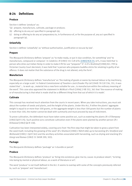### **8-24 Definitions**

#### **Produce**

Section 4 defines 'produce' as:

- '(a) prepare, manufacture, cultivate, package or produce;
- (b) offering to do any act specified in paragraph (a);
- (c) doing or offering to do any act preparatory to, in furtherance of, or for the purpose of, any act specified in paragraph (a).

#### **Unlawfully**

Section 4 defines 'unlawfully' as 'without authorisation, justification or excuse by law'.

#### **Prepare**

The *Macquarie Dictionary* defines 'prepare' as 'to make ready, or put in due condition, for something' and 'to manufacture, compound or compose'. In *Calabria v R* (1983) 151 CLR 670; [\[1983\] HCA 33](http://www.austlii.edu.au/au/cases/cth/HCA/1983/33.html), 675, it was held that 'a person who dries out Indian Hemp in order to make it fit for use "prepares" it'. In *R v Ibrahimof* [1980] ACL 799 (a Victorian County Court decision), it was held that 'a person who prepares buddha sticks for smoking is guilty of an offence. It does not matter that the substance of the drug is not altered, only the form'.

#### **Manufacture**

The *Macquarie Dictionary* defines 'manufacture' as 'the making of goods or wares by manual labour or by machinery, especially on a large scale'. In *Federal Commissioner of Taxation v Jack Zinader Pty Ltd* (1949) 78 CLR 336, 351, it was stated that '... to work up...material into a new form suitable for use...is manufacture within the ordinary meaning of the word'. This case also approved the statement in *McNicol v Pinch* [1906] 2 KB 352, 361 that 'the essence of making or of manufacturing is that what is made shall be a different thing from that out of which it is made'.

#### **Cultivate**

This concept has received much attention from the courts in recent years. When you take instructions, you must ask about the number of seeds and plants, and the height of the plants. Under this Act, if either the plants' aggregate weight is equal to or more than 500 grams, or the aggregate weight is less than 500 grams but the number of plants is more than 100, the matter cannot be dealt with summarily and must proceed by way of indictment.

To prove cultivation, the defendant must have taken some positive act, such as watering the plants (*R v O'Dempsey*  [1982] Qd R 174). Such positive acts constitute cultivation even if the plants were planted by another person (*R v Kirkwood* [1982] Qd R 158).

Cultivation has been interpreted widely, covering acts from 'the first step that might be taken to grow a plant from the seed itself, including the growing of the seed' (*R v Shattock* [1980] 2 NZLR 486) up to harvesting (*R v Stratford and McDonald* [1985] 1 Qd R 361) and the ancillary activities associated with harvesting, such as drying and stacking (*R v Giorgi and Romeo* (1982) 31 SASR 299, 303).

#### **Package**

The *Macquarie Dictionary* defines 'package' as 'a bundle or parcel'.

#### **Produce**

The *Macquarie Dictionary* defines 'produce' as 'bring into existence; give rise to; cause: *to produce steam*', 'to bring into being by mental or physical labour, as a work of literature or art'.

The word 'produce' is not itself defined in the Act. It seems to overlap with some of the concepts previously referred to, such as 'prepare' and 'manufacture'.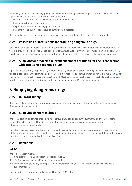Sentencing for production can vary greatly. Some factors influencing sentence range (in addition to the usual, i.e. age, early plea, admissions and previous convictions) are:

- whether the production was for commercial gain or personal use
- the sophistication of the lab/project
- the period the defendant was engaged in the activity
- the quantity (and purity if applicable) of dangerous drug located.

Non-custodial sentences (including where no conviction is recorded) have been considered appropriate.

### **8-25 Possession of instructions for producing dangerous drugs**

It is a crime to publish or possess a document containing instructions about how to produce a dangerous drug. As yet, this provision has had little judicial consideration. Arguably, to fall within the provision, the 'instructions' must enable a person to produce a dangerous drug if followed—a point that, as yet, seems to have not been argued.

### **8-26 Supplying or producing relevant substances or things for use in connection with producing dangerous drugs**

A person who unlawfully supplies (s 9B) or produces (s 9C) a relevant substance or thing, as defined under s 9A(2), for use in connection with committing a crime under s 8 ('Producing dangerous drugs') commits a crime. See 8-12 for examples of relevant substances or things. Section 9B further indicates that the supply must be to another person, whether or not that person is in Queensland. The maximum penalty is 15 years' imprisonment.

# **F. Supplying dangerous drugs**

### **8-27 Unlawful supply**

Under s 6, '[a] person who unlawfully supplies a dangerous drug to another, whether or not such other person is in Queensland, is guilty of a crime'.

### **8-28 Supplying dangerous drugs**

Under this section, an offence of supplying dangerous drugs can be dealt with summarily (and then only at the prosecutor's election (ss 13(1) and 118)) only if the dangerous drug is specified in Schedule 2 and there are no allegations of aggravated supply.

The offence is one of aggravated supply if the offender is an adult and the person being supplied to is a minor, an intellectually handicapped citizen, within an educational institution or within a correctional institution, or they do not know they are being supplied with the thing (s 6(1) and (2)).

### **8-29 Definitions**

#### **Supply**

Under s 4, 'supply' means:

- '(i) give, distribute, sell, administer, transport or supply; or
- (ii) offering to do any act specified in subparagraph (i); or
- (iii) doing or offering to do any act preparatory to, in furtherance of, or for the purpose of, any act specified in subparagraph (1)'.

This definition is wide-ranging and examined further in 8-30 below.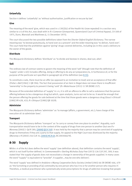#### **Unlawfully**

Section 4 defines 'unlawfully' as 'without authorisation, justification or excuse by law'.

#### **Give**

The meaning of the word 'give, which was used in s  $130(2)(c)$  of the Health Act (now repealed) in a section very similar to s 6 of this Act, was dealt with in *R v Cameron* (Unreported, Queensland Court of Criminal Appeal, CA 108 of 1975, Dunn, Wanstall and Matthews JJ, 11 December 1975).

The court discussed the two possible definitions taken from the *Shorter Oxford English Dictionary*. The narrow meaning was 'to bestow gratuitously, to hand over as a present' and the wider meaning was 'to deliver, hand over'. The court held that the prohibition against 'giving' drugs covered deliveries, including (as in this case) a delivery to the owner of the goods.

#### **Distribute**

The *Macquarie Dictionary* defines 'distribute' as 'to divide and bestow in shares; deal out; allot'.

#### **Sell**

The ordinary law of contract seems to govern the meaning of the word 'sell' (though note that the definition of 'supply' under s 4(1) includes offering, doing or offering to do any act preparatory to, in furtherance of, or for the purpose of the particular act specified in paragraph (a) of the definition (see 8-31).

To constitute a sale, there must be an offer (as opposed to an invitation to treat) and an acceptance of that offer (*Fisher v Bell* [1961] 1 QB 394). The fact that possession of an item is illegal does not mean there is insufficient 'ownership' in the property to prevent it being 'sold' (*R v Waterhouse* (1911) 11 SR (NSW) 217).

Because of the extended definition of 'supply' in s 4, it is still an offence to offer to sell a substance that the person offering believes to be a dangerous drug but which, upon analysis, turns out not to be so. It would be enough that the person offering the goods for sale believed at the time that those goods were a dangerous drug (*Gauci v Driscoll* [1985] VR 428, 432; *R v Shivpuri* [1985] QB 1029).

#### **Administer**

The *Macquarie Dictionary* defines 'administer' as 'to manage (affairs, a government, etc.); have charge of the execution of: *to administer laws*'.

#### **Transport**

The *Macquarie Dictionary* defines 'transport' as 'to carry or convey from one place to another'. Arguably, such transportation would have to be in the context of the supply of drugs from one person to another (but see *R v Maroney* [2002] 1 Qd R 285; [\[2000\] QCA 310](http://archive.sclqld.org.au/qjudgment/2000/QCA00-310.pdf)). It was held by the majority that a person may be convicted of supplying drugs to themselves if they are a party to that supply. An appeal to the High Court was dismissed by the majority (*Maroney v R* (2003) 216 CLR 31; [\[2003\] HCA 63](http://www.austlii.edu.au/au/cases/cth/HCA/2003/63.html); BC200306679).

### **8-30 Supply**

While s 4 of the Act does define the word 'supply' (see definition above), that definition contains the word 'supply', which is not itself further defined. In *Commonwealth v Sterling Nicholas Duty Free* (1972) 126 CLR 297, 309, it was stated that 'the supply of goods does not necessitate a change in ownership of the goods supplied. In many cases the word "supply" is equivalent to "provide". A supplier...may be one who delivers'.

The word 'supply' was defined in *Andaloro v Wyong Cooperative Dairy Society Limited* (1965) 66 SR (NSW) 466, 479 as 'the furnishing or providing of [a] commodity by one person who has it to or for another person who requires it'. Therefore, a medical practitioner who systematically wrote prescriptions for drugs of addiction knowing that people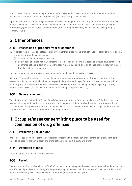would present them to chemists to procure those drugs was held to have 'supplied' within the definition in the *Poisons and Therapeutic Goods Act 1966* (NSW) (*R v Coles* [1984] 1 NSWLR 726).

A person who offers to supply drugs with no intention of fulfilling the offer still 'supplies' within the definition in s 4, though it would not constitute an offence if it could be shown that the offer was not a 'genuine offer' (*R v Roberts* (Unreported, Queensland Court of Criminal Appeal, CA 353 of 1987, Kelly SPJ, Macrossan and Derrington JJ, 23 February 1988)).

# **G. Other offences**

### **8-31 Possession of property from drug offence**

- '(1) A person who receives or possesses property, other than a dangerous drug, (offence property) obtained, directly or indirectly, from the commission of—
	- (a) an offence defined in section 5 or 6; or
	- (b) an act done at a place not in Queensland which if it had been done in Queensland would have constituted an offence defined in section 5 or, as the case may be, 6, and which is an offence under the laws in force in the place where it was done;

knowing or believing the property to have been so obtained, is guilty of a crime' (s  $7(1)$ ).

Section 7(2) states further that, in certain circumstances, where property obtained through committing s 5 or 6 offences (trafficking or supply) has been 'mortgaged, pledged or exchanged for other property' or 'converted into other property in any manner whatever', an offence is still committed. Concealing or disposing of any property referred to in  $\leq$  7(1) or (2) is sufficient to establish 'receiving' that property ( $\leq$  7(3)).

### **8-32 General comment**

The effect of s 13(2) is that the offence of receiving money or property from the supply of any Schedule 2 drug can be dealt with summarily at the prosecutor's election if the person did not receive the money or property with the circumstances of aggravation. A further consequence of s 13(2) is that bail is available on charges under s 7 in the magistrates court if the prosecutor elects summary jurisdiction.

# **H. Occupier/manager permitting place to be used for commission of drug offences**

### **8-33 Permitting use of place**

Under s 11, '[a] person who, being the occupier or concerned in the management or control of a place, permits the place to be used for the commission of a crime defined in this part is guilty of a crime'.

### **8-34 Definition of place**

Section 4 states that 'place' includes a vehicle.

### **8-35 Permit**

The precursor to this provision in s 130(2)(e) of the Health Act (now repealed) stated that a person should not 'permit or suffer use of premises for smoking of a dangerous drug'. It has been held that the use of those two words showed there was some degree of difference—with 'suffer' being less positive than 'permit'.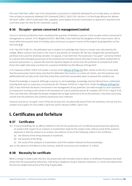The court held that 'suffer' was to be interpreted as passively or implicitly allowing the act to take place, as distinct from actively or expressly allowing it (*R v Sanewski* [1987] 1 Qd R 374). Section 11 of the Drugs Misuse Act deletes the word 'suffer', which could mean that, arguably, some degree of active involvement or approval is required to be convicted under the new Act (*R v Sanewski, supra*).

### **8-36 Occupier—person concerned in management/control**

Courts in several jurisdictions have considered the question of whether a person is the occupier and/or concerned in management or control. In *R v Mogford* [1970] 1 WLR 988, it was held that the daughters of the house owner, left at home while their parents were on holiday, were not house occupiers in terms of the English drug legislation at that time (see 8-8).

In *R v Tao* [1977] QB 141, the defendant was a student at Cambridge who lived in a hostel room allocated by the college. When a person was found in the room in possession of cannabis, Mr Tao was charged with permitting the premises to be used for smoking cannabis. On appeal, it was held that 'the expression "occupier" cannot be limited to a person who had legal possession of the premises but included anyone who had a licence which entitled him to exclusive possession i.e. anyone who had the requisite degree of control over the premises to exclude from them those who might otherwise use them for a purpose forbidden by [the Misuse of Drugs Act]'.

In *R v Sweeney* [1982] 2 NZLR 229 (under a section of the *[Misuse of Drugs Act](http://www.legislation.govt.nz/act/public/1975/0116/latest/DLM436101.html)* (NZ), similar to this Act), it was held that the prosecution had to show only that the defendant had control, or a share of control, over the premises and deliberately did not take action that they knew they could have reasonably taken to prevent the unlawful use.

Proof of knowledge is required. Although suspicion is not knowledge, knowledge may be inferred from a defendant shutting their eyes to suspicious circumstances (*R v Thomas* (1976) 63 Cr App R 65). Under the *[Misuse of Drugs Act](http://www.legislation.gov.uk/ukpga/1971/38/contents)* (UK), it was held that the words 'concerned in the management of any premises' are wide enough to cover squatters or trespassers running a card school in the basement of a local authority house (*R v Josephs* (1977) 65 Cr App R 253). That case held that, although the people charged had no legal authority to be on the premises, they were exercising control over the premises and unlawful possession was irrelevant.

A person may be an 'occupier' even if they do not pay rent; are physically absent from the premises; and are one of a number of occupiers (*R v Fox* [1986] 2 Qd R 402 and *R v Brauer* [1990] 1 Qd R 332).

# **I. Certificates and forfeiture**

### **8-37 Certificates**

- '(1) In any proceedings for an offence defined in this Act the production of a certificate purporting to be signed by an analyst with respect to an analysis or examination made by the analyst shall, without proof of the analyst's signature or that the analyst is an analyst, be evidence of any of the following stated in the certificate—
	- (a) the identity of the thing analysed or examined;
	- (b) the quantity of the thing;
	- (c) the result of the analysis or examination and of the matters relevant to the proceedings;

and, in the absence of evidence to the contrary, shall be conclusive such evidence' (s 128(1)).

### **8-38 Necessity for certificate**

When a charge is made under this Act, the prosecution will normally need to obtain a certificate of analysis that both shows that the presumptive police test, indicating a dangerous drug or relevant substance, is correct and determines the precise weight (and purity of the drug if applicable).